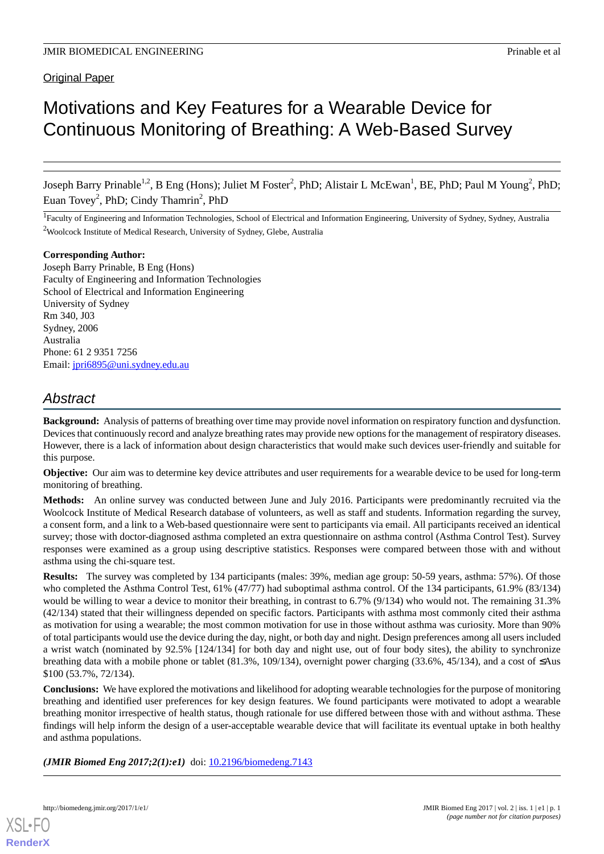# Original Paper

# Motivations and Key Features for a Wearable Device for Continuous Monitoring of Breathing: A Web-Based Survey

Joseph Barry Prinable<sup>1,2</sup>, B Eng (Hons); Juliet M Foster<sup>2</sup>, PhD; Alistair L McEwan<sup>1</sup>, BE, PhD; Paul M Young<sup>2</sup>, PhD; Euan Tovey<sup>2</sup>, PhD; Cindy Thamrin<sup>2</sup>, PhD

<sup>1</sup>Faculty of Engineering and Information Technologies, School of Electrical and Information Engineering, University of Sydney, Sydney, Australia <sup>2</sup>Woolcock Institute of Medical Research, University of Sydney, Glebe, Australia

# **Corresponding Author:**

Joseph Barry Prinable, B Eng (Hons) Faculty of Engineering and Information Technologies School of Electrical and Information Engineering University of Sydney Rm 340, J03 Sydney, 2006 Australia Phone: 61 2 9351 7256 Email: [jpri6895@uni.sydney.edu.au](mailto:jpri6895@uni.sydney.edu.au)

# *Abstract*

**Background:** Analysis of patterns of breathing over time may provide novel information on respiratory function and dysfunction. Devices that continuously record and analyze breathing rates may provide new options for the management of respiratory diseases. However, there is a lack of information about design characteristics that would make such devices user-friendly and suitable for this purpose.

**Objective:** Our aim was to determine key device attributes and user requirements for a wearable device to be used for long-term monitoring of breathing.

**Methods:** An online survey was conducted between June and July 2016. Participants were predominantly recruited via the Woolcock Institute of Medical Research database of volunteers, as well as staff and students. Information regarding the survey, a consent form, and a link to a Web-based questionnaire were sent to participants via email. All participants received an identical survey; those with doctor-diagnosed asthma completed an extra questionnaire on asthma control (Asthma Control Test). Survey responses were examined as a group using descriptive statistics. Responses were compared between those with and without asthma using the chi-square test.

**Results:** The survey was completed by 134 participants (males: 39%, median age group: 50-59 years, asthma: 57%). Of those who completed the Asthma Control Test, 61% (47/77) had suboptimal asthma control. Of the 134 participants, 61.9% (83/134) would be willing to wear a device to monitor their breathing, in contrast to 6.7% (9/134) who would not. The remaining 31.3% (42/134) stated that their willingness depended on specific factors. Participants with asthma most commonly cited their asthma as motivation for using a wearable; the most common motivation for use in those without asthma was curiosity. More than 90% of total participants would use the device during the day, night, or both day and night. Design preferences among all users included a wrist watch (nominated by 92.5% [124/134] for both day and night use, out of four body sites), the ability to synchronize breathing data with a mobile phone or tablet (81.3%, 109/134), overnight power charging (33.6%, 45/134), and a cost of ≤Aus \$100 (53.7%, 72/134).

**Conclusions:** We have explored the motivations and likelihood for adopting wearable technologies for the purpose of monitoring breathing and identified user preferences for key design features. We found participants were motivated to adopt a wearable breathing monitor irrespective of health status, though rationale for use differed between those with and without asthma. These findings will help inform the design of a user-acceptable wearable device that will facilitate its eventual uptake in both healthy and asthma populations.

*(JMIR Biomed Eng 2017;2(1):e1)* doi: [10.2196/biomedeng.7143](http://dx.doi.org/10.2196/biomedeng.7143)

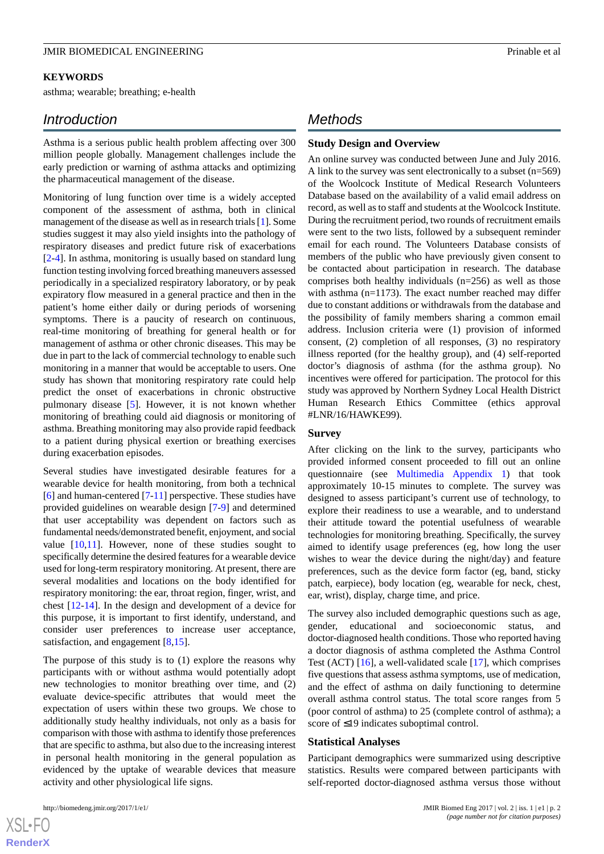#### **KEYWORDS**

asthma; wearable; breathing; e-health

# *Introduction*

Asthma is a serious public health problem affecting over 300 million people globally. Management challenges include the early prediction or warning of asthma attacks and optimizing the pharmaceutical management of the disease.

Monitoring of lung function over time is a widely accepted component of the assessment of asthma, both in clinical management of the disease as well as in research trials [[1\]](#page-9-0). Some studies suggest it may also yield insights into the pathology of respiratory diseases and predict future risk of exacerbations [[2](#page-9-1)[-4](#page-10-0)]. In asthma, monitoring is usually based on standard lung function testing involving forced breathing maneuvers assessed periodically in a specialized respiratory laboratory, or by peak expiratory flow measured in a general practice and then in the patient's home either daily or during periods of worsening symptoms. There is a paucity of research on continuous, real-time monitoring of breathing for general health or for management of asthma or other chronic diseases. This may be due in part to the lack of commercial technology to enable such monitoring in a manner that would be acceptable to users. One study has shown that monitoring respiratory rate could help predict the onset of exacerbations in chronic obstructive pulmonary disease [\[5](#page-10-1)]. However, it is not known whether monitoring of breathing could aid diagnosis or monitoring of asthma. Breathing monitoring may also provide rapid feedback to a patient during physical exertion or breathing exercises during exacerbation episodes.

Several studies have investigated desirable features for a wearable device for health monitoring, from both a technical [[6\]](#page-10-2) and human-centered [\[7](#page-10-3)-[11\]](#page-10-4) perspective. These studies have provided guidelines on wearable design [[7-](#page-10-3)[9\]](#page-10-5) and determined that user acceptability was dependent on factors such as fundamental needs/demonstrated benefit, enjoyment, and social value [\[10](#page-10-6),[11\]](#page-10-4). However, none of these studies sought to specifically determine the desired features for a wearable device used for long-term respiratory monitoring. At present, there are several modalities and locations on the body identified for respiratory monitoring: the ear, throat region, finger, wrist, and chest [[12-](#page-10-7)[14](#page-10-8)]. In the design and development of a device for this purpose, it is important to first identify, understand, and consider user preferences to increase user acceptance, satisfaction, and engagement [\[8](#page-10-9),[15\]](#page-10-10).

The purpose of this study is to (1) explore the reasons why participants with or without asthma would potentially adopt new technologies to monitor breathing over time, and (2) evaluate device-specific attributes that would meet the expectation of users within these two groups. We chose to additionally study healthy individuals, not only as a basis for comparison with those with asthma to identify those preferences that are specific to asthma, but also due to the increasing interest in personal health monitoring in the general population as evidenced by the uptake of wearable devices that measure activity and other physiological life signs.

# *Methods*

# **Study Design and Overview**

An online survey was conducted between June and July 2016. A link to the survey was sent electronically to a subset (n=569) of the Woolcock Institute of Medical Research Volunteers Database based on the availability of a valid email address on record, as well as to staff and students at the Woolcock Institute. During the recruitment period, two rounds of recruitment emails were sent to the two lists, followed by a subsequent reminder email for each round. The Volunteers Database consists of members of the public who have previously given consent to be contacted about participation in research. The database comprises both healthy individuals (n=256) as well as those with asthma (n=1173). The exact number reached may differ due to constant additions or withdrawals from the database and the possibility of family members sharing a common email address. Inclusion criteria were (1) provision of informed consent, (2) completion of all responses, (3) no respiratory illness reported (for the healthy group), and (4) self-reported doctor's diagnosis of asthma (for the asthma group). No incentives were offered for participation. The protocol for this study was approved by Northern Sydney Local Health District Human Research Ethics Committee (ethics approval #LNR/16/HAWKE99).

#### **Survey**

After clicking on the link to the survey, participants who provided informed consent proceeded to fill out an online questionnaire (see [Multimedia Appendix 1](#page-9-2)) that took approximately 10-15 minutes to complete. The survey was designed to assess participant's current use of technology, to explore their readiness to use a wearable, and to understand their attitude toward the potential usefulness of wearable technologies for monitoring breathing. Specifically, the survey aimed to identify usage preferences (eg, how long the user wishes to wear the device during the night/day) and feature preferences, such as the device form factor (eg, band, sticky patch, earpiece), body location (eg, wearable for neck, chest, ear, wrist), display, charge time, and price.

The survey also included demographic questions such as age, gender, educational and socioeconomic status, and doctor-diagnosed health conditions. Those who reported having a doctor diagnosis of asthma completed the Asthma Control Test (ACT) [\[16](#page-10-11)], a well-validated scale [\[17](#page-10-12)], which comprises five questions that assess asthma symptoms, use of medication, and the effect of asthma on daily functioning to determine overall asthma control status. The total score ranges from 5 (poor control of asthma) to 25 (complete control of asthma); a score of ≤19 indicates suboptimal control.

#### **Statistical Analyses**

Participant demographics were summarized using descriptive statistics. Results were compared between participants with self-reported doctor-diagnosed asthma versus those without

 $XS$  • FO **[RenderX](http://www.renderx.com/)**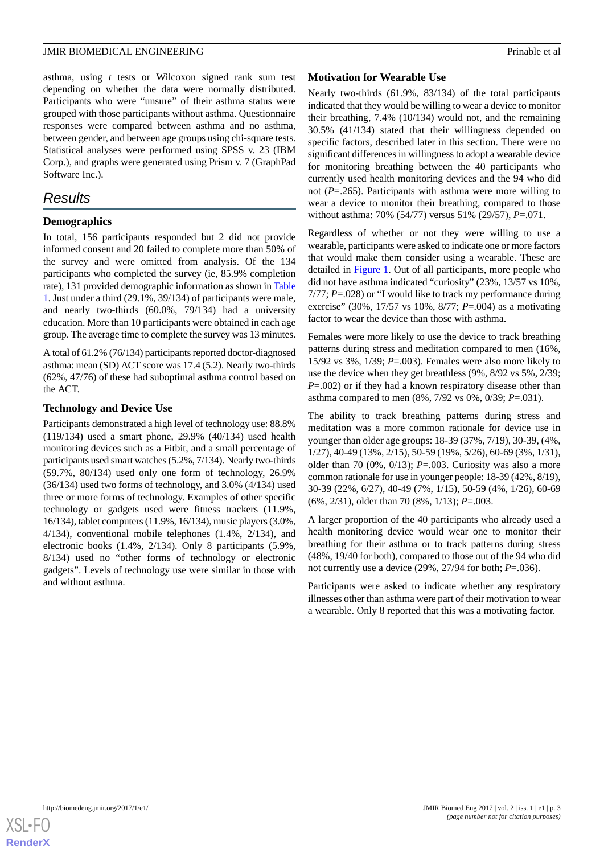asthma, using *t* tests or Wilcoxon signed rank sum test depending on whether the data were normally distributed. Participants who were "unsure" of their asthma status were grouped with those participants without asthma. Questionnaire responses were compared between asthma and no asthma, between gender, and between age groups using chi-square tests. Statistical analyses were performed using SPSS v. 23 (IBM Corp.), and graphs were generated using Prism v. 7 (GraphPad Software Inc.).

# *Results*

## **Demographics**

In total, 156 participants responded but 2 did not provide informed consent and 20 failed to complete more than 50% of the survey and were omitted from analysis. Of the 134 participants who completed the survey (ie, 85.9% completion rate), 131 provided demographic information as shown in [Table](#page-3-0) [1.](#page-3-0) Just under a third (29.1%, 39/134) of participants were male, and nearly two-thirds (60.0%, 79/134) had a university education. More than 10 participants were obtained in each age group. The average time to complete the survey was 13 minutes.

A total of 61.2% (76/134) participants reported doctor-diagnosed asthma: mean (SD) ACT score was 17.4 (5.2). Nearly two-thirds (62%, 47/76) of these had suboptimal asthma control based on the ACT.

## **Technology and Device Use**

Participants demonstrated a high level of technology use: 88.8% (119/134) used a smart phone, 29.9% (40/134) used health monitoring devices such as a Fitbit, and a small percentage of participants used smart watches (5.2%, 7/134). Nearly two-thirds (59.7%, 80/134) used only one form of technology, 26.9% (36/134) used two forms of technology, and 3.0% (4/134) used three or more forms of technology. Examples of other specific technology or gadgets used were fitness trackers (11.9%, 16/134), tablet computers (11.9%, 16/134), music players (3.0%, 4/134), conventional mobile telephones (1.4%, 2/134), and electronic books (1.4%, 2/134). Only 8 participants (5.9%, 8/134) used no "other forms of technology or electronic gadgets". Levels of technology use were similar in those with and without asthma.

#### **Motivation for Wearable Use**

Nearly two-thirds (61.9%, 83/134) of the total participants indicated that they would be willing to wear a device to monitor their breathing, 7.4% (10/134) would not, and the remaining 30.5% (41/134) stated that their willingness depended on specific factors, described later in this section. There were no significant differences in willingness to adopt a wearable device for monitoring breathing between the 40 participants who currently used health monitoring devices and the 94 who did not (*P*=.265). Participants with asthma were more willing to wear a device to monitor their breathing, compared to those without asthma: 70% (54/77) versus 51% (29/57), *P*=.071.

Regardless of whether or not they were willing to use a wearable, participants were asked to indicate one or more factors that would make them consider using a wearable. These are detailed in [Figure 1.](#page-4-0) Out of all participants, more people who did not have asthma indicated "curiosity" (23%, 13/57 vs 10%, 7/77; *P*=.028) or "I would like to track my performance during exercise" (30%, 17/57 vs 10%, 8/77; *P*=.004) as a motivating factor to wear the device than those with asthma.

Females were more likely to use the device to track breathing patterns during stress and meditation compared to men (16%, 15/92 vs 3%, 1/39; *P*=.003). Females were also more likely to use the device when they get breathless (9%, 8/92 vs 5%, 2/39; *P*=.002) or if they had a known respiratory disease other than asthma compared to men (8%, 7/92 vs 0%, 0/39; *P*=.031).

The ability to track breathing patterns during stress and meditation was a more common rationale for device use in younger than older age groups: 18-39 (37%, 7/19), 30-39, (4%, 1/27), 40-49 (13%, 2/15), 50-59 (19%, 5/26), 60-69 (3%, 1/31), older than 70 (0%, 0/13); *P*=.003. Curiosity was also a more common rationale for use in younger people: 18-39 (42%, 8/19), 30-39 (22%, 6/27), 40-49 (7%, 1/15), 50-59 (4%, 1/26), 60-69 (6%, 2/31), older than 70 (8%, 1/13); *P*=.003.

A larger proportion of the 40 participants who already used a health monitoring device would wear one to monitor their breathing for their asthma or to track patterns during stress (48%, 19/40 for both), compared to those out of the 94 who did not currently use a device (29%, 27/94 for both; *P*=.036).

Participants were asked to indicate whether any respiratory illnesses other than asthma were part of their motivation to wear a wearable. Only 8 reported that this was a motivating factor.

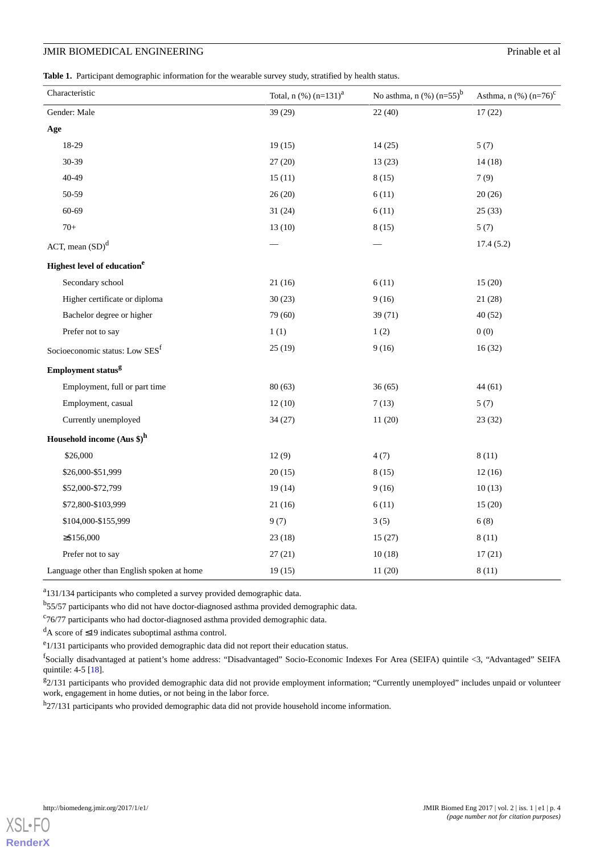# **JMIR BIOMEDICAL ENGINEERING** Prinable et al

<span id="page-3-0"></span>**Table 1.** Participant demographic information for the wearable survey study, stratified by health status.

| Characteristic                                | Total, $n$ (%) $(n=131)^{a}$ | No asthma, $n$ (%) $(n=55)^{b}$ | Asthma, $n$ (%) $(n=76)^{c}$ |
|-----------------------------------------------|------------------------------|---------------------------------|------------------------------|
| Gender: Male                                  | 39 (29)                      | 22(40)                          | 17(22)                       |
| Age                                           |                              |                                 |                              |
| 18-29                                         | 19(15)                       | 14(25)                          | 5(7)                         |
| 30-39                                         | 27(20)                       | 13(23)                          | 14(18)                       |
| 40-49                                         | 15(11)                       | 8(15)                           | 7(9)                         |
| 50-59                                         | 26(20)                       | 6(11)                           | 20(26)                       |
| 60-69                                         | 31(24)                       | 6(11)                           | 25(33)                       |
| $70+$                                         | 13(10)                       | 8(15)                           | 5(7)                         |
| ACT, mean $(SD)^d$                            |                              |                                 | 17.4(5.2)                    |
| <b>Highest level of education<sup>e</sup></b> |                              |                                 |                              |
| Secondary school                              | 21(16)                       | 6(11)                           | 15(20)                       |
| Higher certificate or diploma                 | 30(23)                       | 9(16)                           | 21(28)                       |
| Bachelor degree or higher                     | 79 (60)                      | 39 (71)                         | 40(52)                       |
| Prefer not to say                             | 1(1)                         | 1(2)                            | 0(0)                         |
| Socioeconomic status: Low SES <sup>f</sup>    | 25(19)                       | 9(16)                           | 16(32)                       |
| Employment status <sup>g</sup>                |                              |                                 |                              |
| Employment, full or part time                 | 80(63)                       | 36(65)                          | 44(61)                       |
| Employment, casual                            | 12(10)                       | 7(13)                           | 5(7)                         |
| Currently unemployed                          | 34(27)                       | 11(20)                          | 23(32)                       |
| Household income $(Aus \$ <sup>h</sup>        |                              |                                 |                              |
| \$26,000                                      | 12(9)                        | 4(7)                            | 8(11)                        |
| \$26,000-\$51,999                             | 20(15)                       | 8(15)                           | 12(16)                       |
| \$52,000-\$72,799                             | 19(14)                       | 9(16)                           | 10(13)                       |
| \$72,800-\$103,999                            | 21(16)                       | 6(11)                           | 15(20)                       |
| \$104,000-\$155,999                           | 9(7)                         | 3(5)                            | 6(8)                         |
| $\geq$ \$156,000                              | 23(18)                       | 15(27)                          | 8(11)                        |
| Prefer not to say                             | 27(21)                       | 10(18)                          | 17(21)                       |
| Language other than English spoken at home    | 19(15)                       | 11(20)                          | 8(11)                        |

<sup>a</sup>131/134 participants who completed a survey provided demographic data.

b<br>55/57 participants who did not have doctor-diagnosed asthma provided demographic data.

<sup>c</sup>76/77 participants who had doctor-diagnosed asthma provided demographic data.

 $\rm{d}_{A}$  score of  $\leq$ 19 indicates suboptimal asthma control.

<sup>e</sup>1/131 participants who provided demographic data did not report their education status.

<sup>f</sup>Socially disadvantaged at patient's home address: "Disadvantaged" Socio-Economic Indexes For Area (SEIFA) quintile <3, "Advantaged" SEIFA quintile: 4-5 [\[18\]](#page-10-13).

<sup>g</sup>2/131 participants who provided demographic data did not provide employment information; "Currently unemployed" includes unpaid or volunteer work, engagement in home duties, or not being in the labor force.

h<sub>27</sub>/131 participants who provided demographic data did not provide household income information.

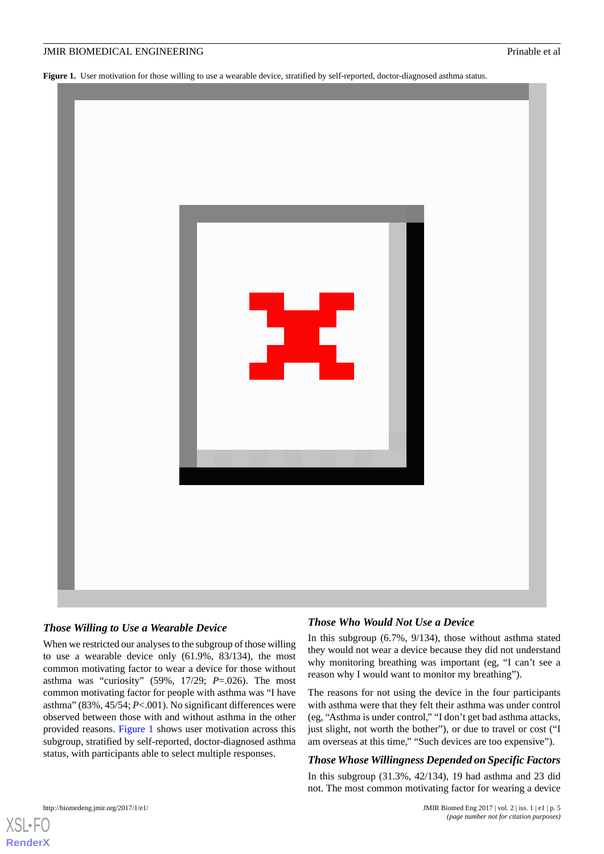<span id="page-4-0"></span>Figure 1. User motivation for those willing to use a wearable device, stratified by self-reported, doctor-diagnosed asthma status.



# *Those Willing to Use a Wearable Device*

When we restricted our analyses to the subgroup of those willing to use a wearable device only (61.9%, 83/134), the most common motivating factor to wear a device for those without asthma was "curiosity" (59%, 17/29; *P*=.026). The most common motivating factor for people with asthma was "I have asthma" (83%, 45/54; *P*<.001). No significant differences were observed between those with and without asthma in the other provided reasons. [Figure 1](#page-4-0) shows user motivation across this subgroup, stratified by self-reported, doctor-diagnosed asthma status, with participants able to select multiple responses.

# *Those Who Would Not Use a Device*

In this subgroup (6.7%, 9/134), those without asthma stated they would not wear a device because they did not understand why monitoring breathing was important (eg, "I can't see a reason why I would want to monitor my breathing").

The reasons for not using the device in the four participants with asthma were that they felt their asthma was under control (eg, "Asthma is under control," "I don't get bad asthma attacks, just slight, not worth the bother"), or due to travel or cost ("I am overseas at this time," "Such devices are too expensive").

# *Those Whose Willingness Depended on Specific Factors*

In this subgroup (31.3%, 42/134), 19 had asthma and 23 did not. The most common motivating factor for wearing a device

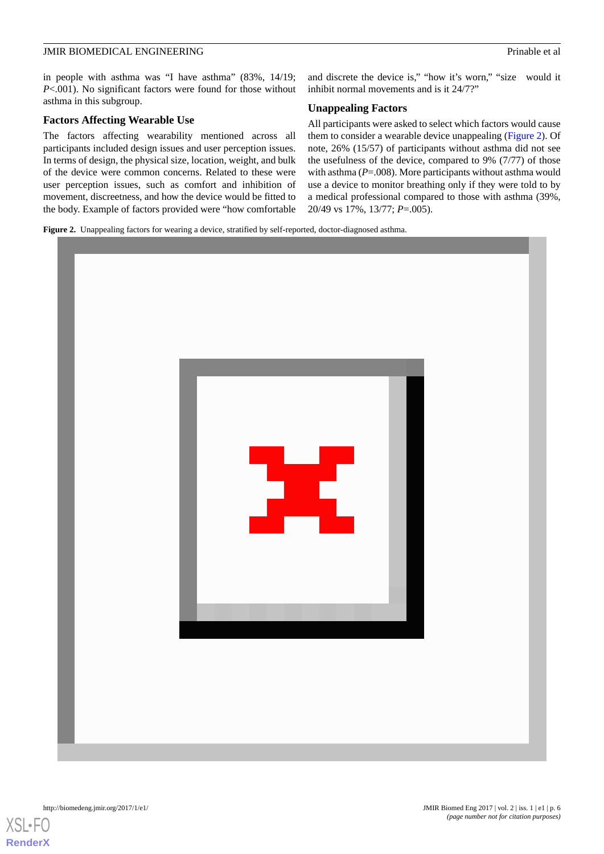in people with asthma was "I have asthma" (83%, 14/19; *P*<.001). No significant factors were found for those without asthma in this subgroup.

## **Factors Affecting Wearable Use**

The factors affecting wearability mentioned across all participants included design issues and user perception issues. In terms of design, the physical size, location, weight, and bulk of the device were common concerns. Related to these were user perception issues, such as comfort and inhibition of movement, discreetness, and how the device would be fitted to the body. Example of factors provided were "how comfortable and discrete the device is," "how it's worn," "size would it inhibit normal movements and is it 24/7?"

# **Unappealing Factors**

All participants were asked to select which factors would cause them to consider a wearable device unappealing [\(Figure 2](#page-5-0)). Of note, 26% (15/57) of participants without asthma did not see the usefulness of the device, compared to 9% (7/77) of those with asthma ( $P = .008$ ). More participants without asthma would use a device to monitor breathing only if they were told to by a medical professional compared to those with asthma (39%, 20/49 vs 17%, 13/77; *P*=.005).

<span id="page-5-0"></span>**Figure 2.** Unappealing factors for wearing a device, stratified by self-reported, doctor-diagnosed asthma.



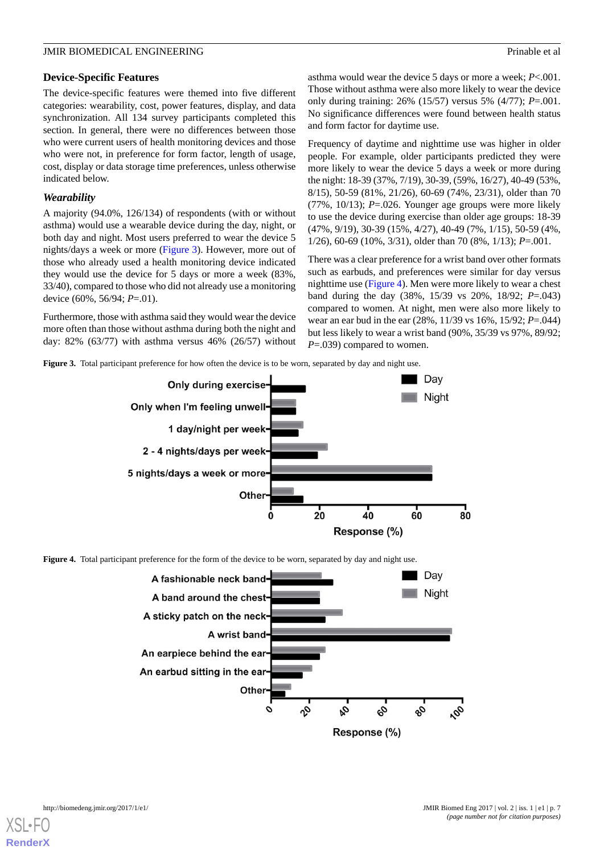# **Device-Specific Features**

The device-specific features were themed into five different categories: wearability, cost, power features, display, and data synchronization. All 134 survey participants completed this section. In general, there were no differences between those who were current users of health monitoring devices and those who were not, in preference for form factor, length of usage, cost, display or data storage time preferences, unless otherwise indicated below.

# *Wearability*

A majority (94.0%, 126/134) of respondents (with or without asthma) would use a wearable device during the day, night, or both day and night. Most users preferred to wear the device 5 nights/days a week or more [\(Figure 3](#page-6-0)). However, more out of those who already used a health monitoring device indicated they would use the device for 5 days or more a week (83%, 33/40), compared to those who did not already use a monitoring device (60%, 56/94; *P*=.01).

<span id="page-6-0"></span>Furthermore, those with asthma said they would wear the device more often than those without asthma during both the night and day: 82% (63/77) with asthma versus 46% (26/57) without asthma would wear the device 5 days or more a week; *P*<.001. Those without asthma were also more likely to wear the device only during training: 26% (15/57) versus 5% (4/77); *P*=.001. No significance differences were found between health status and form factor for daytime use.

Frequency of daytime and nighttime use was higher in older people. For example, older participants predicted they were more likely to wear the device 5 days a week or more during the night: 18-39 (37%, 7/19), 30-39, (59%, 16/27), 40-49 (53%, 8/15), 50-59 (81%, 21/26), 60-69 (74%, 23/31), older than 70 (77%, 10/13); *P*=.026. Younger age groups were more likely to use the device during exercise than older age groups: 18-39 (47%, 9/19), 30-39 (15%, 4/27), 40-49 (7%, 1/15), 50-59 (4%, 1/26), 60-69 (10%, 3/31), older than 70 (8%, 1/13); *P*=.001.

There was a clear preference for a wrist band over other formats such as earbuds, and preferences were similar for day versus nighttime use ([Figure 4](#page-6-1)). Men were more likely to wear a chest band during the day (38%, 15/39 vs 20%, 18/92; *P*=.043) compared to women. At night, men were also more likely to wear an ear bud in the ear (28%, 11/39 vs 16%, 15/92; *P*=.044) but less likely to wear a wrist band (90%, 35/39 vs 97%, 89/92; *P*=.039) compared to women.

**Figure 3.** Total participant preference for how often the device is to be worn, separated by day and night use.



<span id="page-6-1"></span>

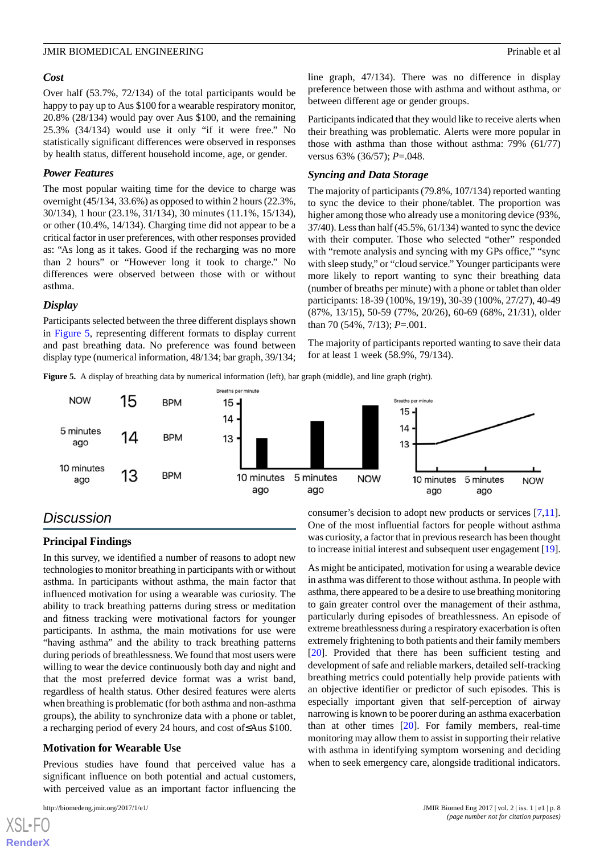#### *Cost*

Over half (53.7%, 72/134) of the total participants would be happy to pay up to Aus \$100 for a wearable respiratory monitor, 20.8% (28/134) would pay over Aus \$100, and the remaining 25.3% (34/134) would use it only "if it were free." No statistically significant differences were observed in responses by health status, different household income, age, or gender.

#### *Power Features*

The most popular waiting time for the device to charge was overnight (45/134, 33.6%) as opposed to within 2 hours (22.3%, 30/134), 1 hour (23.1%, 31/134), 30 minutes (11.1%, 15/134), or other (10.4%, 14/134). Charging time did not appear to be a critical factor in user preferences, with other responses provided as: "As long as it takes. Good if the recharging was no more than 2 hours" or "However long it took to charge." No differences were observed between those with or without asthma.

#### *Display*

<span id="page-7-0"></span>Participants selected between the three different displays shown in [Figure 5,](#page-7-0) representing different formats to display current and past breathing data. No preference was found between display type (numerical information, 48/134; bar graph, 39/134;

line graph, 47/134). There was no difference in display preference between those with asthma and without asthma, or between different age or gender groups.

Participants indicated that they would like to receive alerts when their breathing was problematic. Alerts were more popular in those with asthma than those without asthma: 79% (61/77) versus 63% (36/57); *P*=.048.

#### *Syncing and Data Storage*

The majority of participants (79.8%, 107/134) reported wanting to sync the device to their phone/tablet. The proportion was higher among those who already use a monitoring device (93%, 37/40). Less than half (45.5%, 61/134) wanted to sync the device with their computer. Those who selected "other" responded with "remote analysis and syncing with my GPs office," "sync with sleep study," or "cloud service." Younger participants were more likely to report wanting to sync their breathing data (number of breaths per minute) with a phone or tablet than older participants: 18-39 (100%, 19/19), 30-39 (100%, 27/27), 40-49 (87%, 13/15), 50-59 (77%, 20/26), 60-69 (68%, 21/31), older than 70 (54%, 7/13); *P*=.001.

The majority of participants reported wanting to save their data for at least 1 week (58.9%, 79/134).

**Figure 5.** A display of breathing data by numerical information (left), bar graph (middle), and line graph (right).



# *Discussion*

# **Principal Findings**

In this survey, we identified a number of reasons to adopt new technologies to monitor breathing in participants with or without asthma. In participants without asthma, the main factor that influenced motivation for using a wearable was curiosity. The ability to track breathing patterns during stress or meditation and fitness tracking were motivational factors for younger participants. In asthma, the main motivations for use were "having asthma" and the ability to track breathing patterns during periods of breathlessness. We found that most users were willing to wear the device continuously both day and night and that the most preferred device format was a wrist band, regardless of health status. Other desired features were alerts when breathing is problematic (for both asthma and non-asthma groups), the ability to synchronize data with a phone or tablet, a recharging period of every 24 hours, and cost of≤Aus \$100.

## **Motivation for Wearable Use**

Previous studies have found that perceived value has a significant influence on both potential and actual customers, with perceived value as an important factor influencing the

[XSL](http://www.w3.org/Style/XSL)•FO **[RenderX](http://www.renderx.com/)**

consumer's decision to adopt new products or services [\[7](#page-10-3),[11\]](#page-10-4). One of the most influential factors for people without asthma was curiosity, a factor that in previous research has been thought to increase initial interest and subsequent user engagement [\[19\]](#page-10-14).

As might be anticipated, motivation for using a wearable device in asthma was different to those without asthma. In people with asthma, there appeared to be a desire to use breathing monitoring to gain greater control over the management of their asthma, particularly during episodes of breathlessness. An episode of extreme breathlessness during a respiratory exacerbation is often extremely frightening to both patients and their family members [[20\]](#page-10-15). Provided that there has been sufficient testing and development of safe and reliable markers, detailed self-tracking breathing metrics could potentially help provide patients with an objective identifier or predictor of such episodes. This is especially important given that self-perception of airway narrowing is known to be poorer during an asthma exacerbation than at other times [[20\]](#page-10-15). For family members, real-time monitoring may allow them to assist in supporting their relative with asthma in identifying symptom worsening and deciding when to seek emergency care, alongside traditional indicators.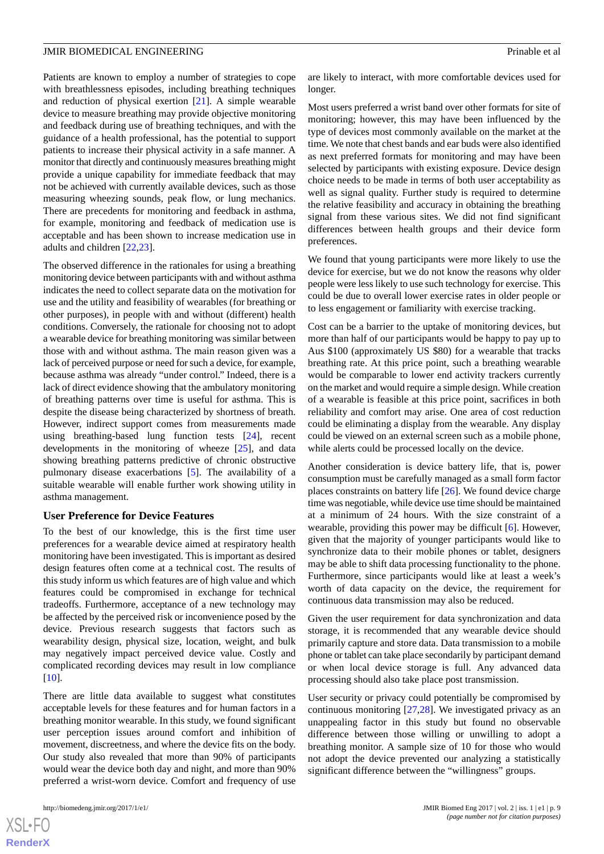Patients are known to employ a number of strategies to cope with breathlessness episodes, including breathing techniques and reduction of physical exertion [\[21](#page-10-16)]. A simple wearable device to measure breathing may provide objective monitoring and feedback during use of breathing techniques, and with the guidance of a health professional, has the potential to support patients to increase their physical activity in a safe manner. A monitor that directly and continuously measures breathing might provide a unique capability for immediate feedback that may not be achieved with currently available devices, such as those measuring wheezing sounds, peak flow, or lung mechanics. There are precedents for monitoring and feedback in asthma, for example, monitoring and feedback of medication use is acceptable and has been shown to increase medication use in adults and children [\[22](#page-10-17),[23\]](#page-10-18).

The observed difference in the rationales for using a breathing monitoring device between participants with and without asthma indicates the need to collect separate data on the motivation for use and the utility and feasibility of wearables (for breathing or other purposes), in people with and without (different) health conditions. Conversely, the rationale for choosing not to adopt a wearable device for breathing monitoring was similar between those with and without asthma. The main reason given was a lack of perceived purpose or need for such a device, for example, because asthma was already "under control." Indeed, there is a lack of direct evidence showing that the ambulatory monitoring of breathing patterns over time is useful for asthma. This is despite the disease being characterized by shortness of breath. However, indirect support comes from measurements made using breathing-based lung function tests [[24\]](#page-10-19), recent developments in the monitoring of wheeze [\[25](#page-10-20)], and data showing breathing patterns predictive of chronic obstructive pulmonary disease exacerbations [[5\]](#page-10-1). The availability of a suitable wearable will enable further work showing utility in asthma management.

## **User Preference for Device Features**

To the best of our knowledge, this is the first time user preferences for a wearable device aimed at respiratory health monitoring have been investigated. This is important as desired design features often come at a technical cost. The results of this study inform us which features are of high value and which features could be compromised in exchange for technical tradeoffs. Furthermore, acceptance of a new technology may be affected by the perceived risk or inconvenience posed by the device. Previous research suggests that factors such as wearability design, physical size, location, weight, and bulk may negatively impact perceived device value. Costly and complicated recording devices may result in low compliance [[10\]](#page-10-6).

There are little data available to suggest what constitutes acceptable levels for these features and for human factors in a breathing monitor wearable. In this study, we found significant user perception issues around comfort and inhibition of movement, discreetness, and where the device fits on the body. Our study also revealed that more than 90% of participants would wear the device both day and night, and more than 90% preferred a wrist-worn device. Comfort and frequency of use

 $XS$  $\cdot$ FC **[RenderX](http://www.renderx.com/)**

are likely to interact, with more comfortable devices used for longer.

Most users preferred a wrist band over other formats for site of monitoring; however, this may have been influenced by the type of devices most commonly available on the market at the time. We note that chest bands and ear buds were also identified as next preferred formats for monitoring and may have been selected by participants with existing exposure. Device design choice needs to be made in terms of both user acceptability as well as signal quality. Further study is required to determine the relative feasibility and accuracy in obtaining the breathing signal from these various sites. We did not find significant differences between health groups and their device form preferences.

We found that young participants were more likely to use the device for exercise, but we do not know the reasons why older people were less likely to use such technology for exercise. This could be due to overall lower exercise rates in older people or to less engagement or familiarity with exercise tracking.

Cost can be a barrier to the uptake of monitoring devices, but more than half of our participants would be happy to pay up to Aus \$100 (approximately US \$80) for a wearable that tracks breathing rate. At this price point, such a breathing wearable would be comparable to lower end activity trackers currently on the market and would require a simple design. While creation of a wearable is feasible at this price point, sacrifices in both reliability and comfort may arise. One area of cost reduction could be eliminating a display from the wearable. Any display could be viewed on an external screen such as a mobile phone, while alerts could be processed locally on the device.

Another consideration is device battery life, that is, power consumption must be carefully managed as a small form factor places constraints on battery life [\[26](#page-11-0)]. We found device charge time was negotiable, while device use time should be maintained at a minimum of 24 hours. With the size constraint of a wearable, providing this power may be difficult [\[6](#page-10-2)]. However, given that the majority of younger participants would like to synchronize data to their mobile phones or tablet, designers may be able to shift data processing functionality to the phone. Furthermore, since participants would like at least a week's worth of data capacity on the device, the requirement for continuous data transmission may also be reduced.

Given the user requirement for data synchronization and data storage, it is recommended that any wearable device should primarily capture and store data. Data transmission to a mobile phone or tablet can take place secondarily by participant demand or when local device storage is full. Any advanced data processing should also take place post transmission.

User security or privacy could potentially be compromised by continuous monitoring [\[27](#page-11-1),[28\]](#page-11-2). We investigated privacy as an unappealing factor in this study but found no observable difference between those willing or unwilling to adopt a breathing monitor. A sample size of 10 for those who would not adopt the device prevented our analyzing a statistically significant difference between the "willingness" groups.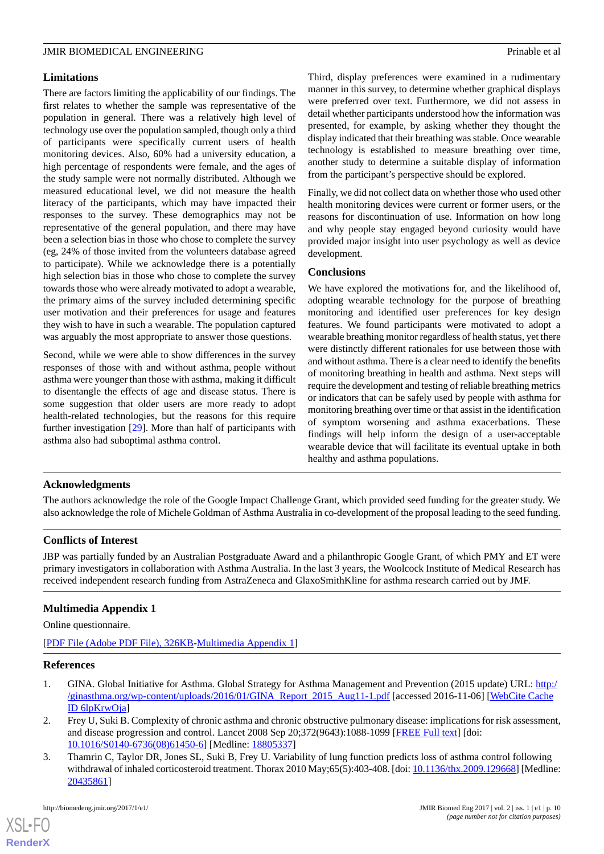# **Limitations**

There are factors limiting the applicability of our findings. The first relates to whether the sample was representative of the population in general. There was a relatively high level of technology use over the population sampled, though only a third of participants were specifically current users of health monitoring devices. Also, 60% had a university education, a high percentage of respondents were female, and the ages of the study sample were not normally distributed. Although we measured educational level, we did not measure the health literacy of the participants, which may have impacted their responses to the survey. These demographics may not be representative of the general population, and there may have been a selection bias in those who chose to complete the survey (eg, 24% of those invited from the volunteers database agreed to participate). While we acknowledge there is a potentially high selection bias in those who chose to complete the survey towards those who were already motivated to adopt a wearable, the primary aims of the survey included determining specific user motivation and their preferences for usage and features they wish to have in such a wearable. The population captured was arguably the most appropriate to answer those questions.

Second, while we were able to show differences in the survey responses of those with and without asthma, people without asthma were younger than those with asthma, making it difficult to disentangle the effects of age and disease status. There is some suggestion that older users are more ready to adopt health-related technologies, but the reasons for this require further investigation [\[29](#page-11-3)]. More than half of participants with asthma also had suboptimal asthma control.

Third, display preferences were examined in a rudimentary manner in this survey, to determine whether graphical displays were preferred over text. Furthermore, we did not assess in detail whether participants understood how the information was presented, for example, by asking whether they thought the display indicated that their breathing was stable. Once wearable technology is established to measure breathing over time, another study to determine a suitable display of information from the participant's perspective should be explored.

Finally, we did not collect data on whether those who used other health monitoring devices were current or former users, or the reasons for discontinuation of use. Information on how long and why people stay engaged beyond curiosity would have provided major insight into user psychology as well as device development.

## **Conclusions**

We have explored the motivations for, and the likelihood of, adopting wearable technology for the purpose of breathing monitoring and identified user preferences for key design features. We found participants were motivated to adopt a wearable breathing monitor regardless of health status, yet there were distinctly different rationales for use between those with and without asthma. There is a clear need to identify the benefits of monitoring breathing in health and asthma. Next steps will require the development and testing of reliable breathing metrics or indicators that can be safely used by people with asthma for monitoring breathing over time or that assist in the identification of symptom worsening and asthma exacerbations. These findings will help inform the design of a user-acceptable wearable device that will facilitate its eventual uptake in both healthy and asthma populations.

# **Acknowledgments**

The authors acknowledge the role of the Google Impact Challenge Grant, which provided seed funding for the greater study. We also acknowledge the role of Michele Goldman of Asthma Australia in co-development of the proposal leading to the seed funding.

# <span id="page-9-2"></span>**Conflicts of Interest**

JBP was partially funded by an Australian Postgraduate Award and a philanthropic Google Grant, of which PMY and ET were primary investigators in collaboration with Asthma Australia. In the last 3 years, the Woolcock Institute of Medical Research has received independent research funding from AstraZeneca and GlaxoSmithKline for asthma research carried out by JMF.

# <span id="page-9-0"></span>**Multimedia Appendix 1**

Online questionnaire.

<span id="page-9-1"></span>[[PDF File \(Adobe PDF File\), 326KB-Multimedia Appendix 1](https://jmir.org/api/download?alt_name=biomedeng_v2i1e1_app1.pdf&filename=504f3ef5ef93979dcb1a457174110682.pdf)]

# **References**

- 1. GINA. Global Initiative for Asthma. Global Strategy for Asthma Management and Prevention (2015 update) URL: [http:/](http://ginasthma.org/wp-content/uploads/2016/01/GINA_Report_2015_Aug11-1.pdf) [/ginasthma.org/wp-content/uploads/2016/01/GINA\\_Report\\_2015\\_Aug11-1.pdf](http://ginasthma.org/wp-content/uploads/2016/01/GINA_Report_2015_Aug11-1.pdf) [accessed 2016-11-06] [\[WebCite Cache](http://www.webcitation.org/

                                6lpKrwOja) [ID 6lpKrwOja\]](http://www.webcitation.org/

                                6lpKrwOja)
- 2. Frey U, Suki B. Complexity of chronic asthma and chronic obstructive pulmonary disease: implications for risk assessment, and disease progression and control. Lancet 2008 Sep 20;372(9643):1088-1099 [\[FREE Full text\]](http://europepmc.org/abstract/MED/18805337) [doi: [10.1016/S0140-6736\(08\)61450-6\]](http://dx.doi.org/10.1016/S0140-6736(08)61450-6) [Medline: [18805337](http://www.ncbi.nlm.nih.gov/entrez/query.fcgi?cmd=Retrieve&db=PubMed&list_uids=18805337&dopt=Abstract)]
- 3. Thamrin C, Taylor DR, Jones SL, Suki B, Frey U. Variability of lung function predicts loss of asthma control following withdrawal of inhaled corticosteroid treatment. Thorax 2010 May;65(5):403-408. [doi: [10.1136/thx.2009.129668\]](http://dx.doi.org/10.1136/thx.2009.129668) [Medline: [20435861](http://www.ncbi.nlm.nih.gov/entrez/query.fcgi?cmd=Retrieve&db=PubMed&list_uids=20435861&dopt=Abstract)]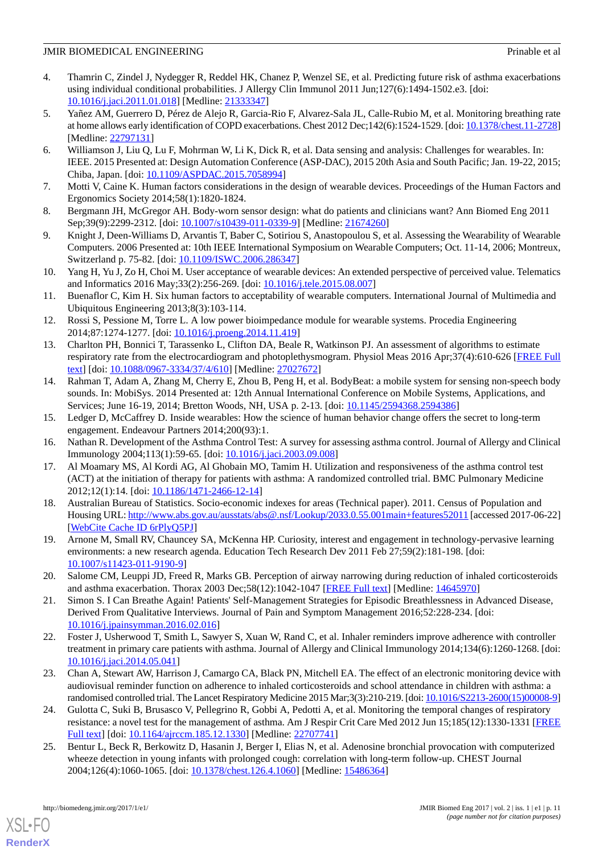- <span id="page-10-0"></span>4. Thamrin C, Zindel J, Nydegger R, Reddel HK, Chanez P, Wenzel SE, et al. Predicting future risk of asthma exacerbations using individual conditional probabilities. J Allergy Clin Immunol 2011 Jun;127(6):1494-1502.e3. [doi: [10.1016/j.jaci.2011.01.018](http://dx.doi.org/10.1016/j.jaci.2011.01.018)] [Medline: [21333347\]](http://www.ncbi.nlm.nih.gov/entrez/query.fcgi?cmd=Retrieve&db=PubMed&list_uids=21333347&dopt=Abstract)
- <span id="page-10-1"></span>5. Yañez AM, Guerrero D, Pérez de Alejo R, Garcia-Rio F, Alvarez-Sala JL, Calle-Rubio M, et al. Monitoring breathing rate at home allows early identification of COPD exacerbations. Chest 2012 Dec;142(6):1524-1529. [doi: [10.1378/chest.11-2728\]](http://dx.doi.org/10.1378/chest.11-2728) [Medline: [22797131](http://www.ncbi.nlm.nih.gov/entrez/query.fcgi?cmd=Retrieve&db=PubMed&list_uids=22797131&dopt=Abstract)]
- <span id="page-10-2"></span>6. Williamson J, Liu Q, Lu F, Mohrman W, Li K, Dick R, et al. Data sensing and analysis: Challenges for wearables. In: IEEE. 2015 Presented at: Design Automation Conference (ASP-DAC), 2015 20th Asia and South Pacific; Jan. 19-22, 2015; Chiba, Japan. [doi: [10.1109/ASPDAC.2015.7058994](http://dx.doi.org/10.1109/ASPDAC.2015.7058994)]
- <span id="page-10-9"></span><span id="page-10-3"></span>7. Motti V, Caine K. Human factors considerations in the design of wearable devices. Proceedings of the Human Factors and Ergonomics Society 2014;58(1):1820-1824.
- <span id="page-10-5"></span>8. Bergmann JH, McGregor AH. Body-worn sensor design: what do patients and clinicians want? Ann Biomed Eng 2011 Sep;39(9):2299-2312. [doi: [10.1007/s10439-011-0339-9\]](http://dx.doi.org/10.1007/s10439-011-0339-9) [Medline: [21674260](http://www.ncbi.nlm.nih.gov/entrez/query.fcgi?cmd=Retrieve&db=PubMed&list_uids=21674260&dopt=Abstract)]
- <span id="page-10-6"></span>9. Knight J, Deen-Williams D, Arvantis T, Baber C, Sotiriou S, Anastopoulou S, et al. Assessing the Wearability of Wearable Computers. 2006 Presented at: 10th IEEE International Symposium on Wearable Computers; Oct. 11-14, 2006; Montreux, Switzerland p. 75-82. [doi: [10.1109/ISWC.2006.286347\]](http://dx.doi.org/10.1109/ISWC.2006.286347)
- <span id="page-10-4"></span>10. Yang H, Yu J, Zo H, Choi M. User acceptance of wearable devices: An extended perspective of perceived value. Telematics and Informatics 2016 May;33(2):256-269. [doi: [10.1016/j.tele.2015.08.007](http://dx.doi.org/10.1016/j.tele.2015.08.007)]
- <span id="page-10-7"></span>11. Buenaflor C, Kim H. Six human factors to acceptability of wearable computers. International Journal of Multimedia and Ubiquitous Engineering 2013;8(3):103-114.
- 12. Rossi S, Pessione M, Torre L. A low power bioimpedance module for wearable systems. Procedia Engineering 2014;87:1274-1277. [doi: [10.1016/j.proeng.2014.11.419\]](http://dx.doi.org/10.1016/j.proeng.2014.11.419)
- <span id="page-10-8"></span>13. Charlton PH, Bonnici T, Tarassenko L, Clifton DA, Beale R, Watkinson PJ. An assessment of algorithms to estimate respiratory rate from the electrocardiogram and photoplethysmogram. Physiol Meas 2016 Apr;37(4):610-626 [[FREE Full](http://europepmc.org/abstract/MED/27027672) [text](http://europepmc.org/abstract/MED/27027672)] [doi: [10.1088/0967-3334/37/4/610\]](http://dx.doi.org/10.1088/0967-3334/37/4/610) [Medline: [27027672](http://www.ncbi.nlm.nih.gov/entrez/query.fcgi?cmd=Retrieve&db=PubMed&list_uids=27027672&dopt=Abstract)]
- <span id="page-10-11"></span><span id="page-10-10"></span>14. Rahman T, Adam A, Zhang M, Cherry E, Zhou B, Peng H, et al. BodyBeat: a mobile system for sensing non-speech body sounds. In: MobiSys. 2014 Presented at: 12th Annual International Conference on Mobile Systems, Applications, and Services; June 16-19, 2014; Bretton Woods, NH, USA p. 2-13. [doi: [10.1145/2594368.2594386\]](http://dx.doi.org/10.1145/2594368.2594386)
- <span id="page-10-12"></span>15. Ledger D, McCaffrey D. Inside wearables: How the science of human behavior change offers the secret to long-term engagement. Endeavour Partners 2014;200(93):1.
- <span id="page-10-13"></span>16. Nathan R. Development of the Asthma Control Test: A survey for assessing asthma control. Journal of Allergy and Clinical Immunology 2004;113(1):59-65. [doi: [10.1016/j.jaci.2003.09.008](http://dx.doi.org/10.1016/j.jaci.2003.09.008)]
- 17. Al Moamary MS, Al Kordi AG, Al Ghobain MO, Tamim H. Utilization and responsiveness of the asthma control test (ACT) at the initiation of therapy for patients with asthma: A randomized controlled trial. BMC Pulmonary Medicine 2012;12(1):14. [doi: [10.1186/1471-2466-12-14](http://dx.doi.org/10.1186/1471-2466-12-14)]
- <span id="page-10-15"></span><span id="page-10-14"></span>18. Australian Bureau of Statistics. Socio-economic indexes for areas (Technical paper). 2011. Census of Population and Housing URL:<http://www.abs.gov.au/ausstats/abs@.nsf/Lookup/2033.0.55.001main+features52011> [accessed 2017-06-22] [[WebCite Cache ID 6rPlyQ5PJ\]](http://www.webcitation.org/

                                6rPlyQ5PJ)
- <span id="page-10-16"></span>19. Arnone M, Small RV, Chauncey SA, McKenna HP. Curiosity, interest and engagement in technology-pervasive learning environments: a new research agenda. Education Tech Research Dev 2011 Feb 27;59(2):181-198. [doi: [10.1007/s11423-011-9190-9\]](http://dx.doi.org/10.1007/s11423-011-9190-9)
- <span id="page-10-17"></span>20. Salome CM, Leuppi JD, Freed R, Marks GB. Perception of airway narrowing during reduction of inhaled corticosteroids and asthma exacerbation. Thorax 2003 Dec;58(12):1042-1047 [[FREE Full text](http://thorax.bmj.com/cgi/pmidlookup?view=long&pmid=14645970)] [Medline: [14645970\]](http://www.ncbi.nlm.nih.gov/entrez/query.fcgi?cmd=Retrieve&db=PubMed&list_uids=14645970&dopt=Abstract)
- <span id="page-10-18"></span>21. Simon S. I Can Breathe Again! Patients' Self-Management Strategies for Episodic Breathlessness in Advanced Disease, Derived From Qualitative Interviews. Journal of Pain and Symptom Management 2016;52:228-234. [doi: [10.1016/j.jpainsymman.2016.02.016\]](http://dx.doi.org/10.1016/j.jpainsymman.2016.02.016)
- <span id="page-10-19"></span>22. Foster J, Usherwood T, Smith L, Sawyer S, Xuan W, Rand C, et al. Inhaler reminders improve adherence with controller treatment in primary care patients with asthma. Journal of Allergy and Clinical Immunology 2014;134(6):1260-1268. [doi: [10.1016/j.jaci.2014.05.041](http://dx.doi.org/10.1016/j.jaci.2014.05.041)]
- <span id="page-10-20"></span>23. Chan A, Stewart AW, Harrison J, Camargo CA, Black PN, Mitchell EA. The effect of an electronic monitoring device with audiovisual reminder function on adherence to inhaled corticosteroids and school attendance in children with asthma: a randomised controlled trial. The Lancet Respiratory Medicine 2015 Mar;3(3):210-219. [doi: [10.1016/S2213-2600\(15\)00008-9\]](http://dx.doi.org/10.1016/S2213-2600(15)00008-9)
- 24. Gulotta C, Suki B, Brusasco V, Pellegrino R, Gobbi A, Pedotti A, et al. Monitoring the temporal changes of respiratory resistance: a novel test for the management of asthma. Am J Respir Crit Care Med 2012 Jun 15;185(12):1330-1331 [\[FREE](http://europepmc.org/abstract/MED/22707741) [Full text\]](http://europepmc.org/abstract/MED/22707741) [doi: [10.1164/ajrccm.185.12.1330](http://dx.doi.org/10.1164/ajrccm.185.12.1330)] [Medline: [22707741\]](http://www.ncbi.nlm.nih.gov/entrez/query.fcgi?cmd=Retrieve&db=PubMed&list_uids=22707741&dopt=Abstract)
- 25. Bentur L, Beck R, Berkowitz D, Hasanin J, Berger I, Elias N, et al. Adenosine bronchial provocation with computerized wheeze detection in young infants with prolonged cough: correlation with long-term follow-up. CHEST Journal 2004;126(4):1060-1065. [doi: [10.1378/chest.126.4.1060\]](http://dx.doi.org/10.1378/chest.126.4.1060) [Medline: [15486364\]](http://www.ncbi.nlm.nih.gov/entrez/query.fcgi?cmd=Retrieve&db=PubMed&list_uids=15486364&dopt=Abstract)